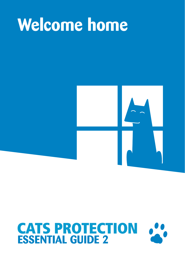# **Welcome home**



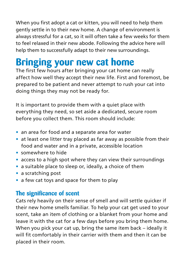When you first adopt a cat or kitten, you will need to help them gently settle in to their new home. A change of environment is always stressful for a cat, so it will often take a few weeks for them to feel relaxed in their new abode. Following the advice here will help them to successfully adapt to their new surroundings.

### **Bringing your new cat home**

The first few hours after bringing your cat home can really affect how well they accept their new life. First and foremost, be prepared to be patient and never attempt to rush your cat into doing things they may not be ready for.

It is important to provide them with a quiet place with everything they need, so set aside a dedicated, secure room before you collect them. This room should include:

- **•** an area for food and a separate area for water
- **•** at least one litter tray placed as far away as possible from their food and water and in a private, accessible location
- **•** somewhere to hide
- **•** access to a high spot where they can view their surroundings
- **•** a suitable place to sleep or, ideally, a choice of them
- **•** a scratching post
- **•** a few cat toys and space for them to play

### **The significance of scent**

Cats rely heavily on their sense of smell and will settle quicker if their new home smells familiar. To help your cat get used to your scent, take an item of clothing or a blanket from your home and leave it with the cat for a few days before you bring them home. When you pick your cat up, bring the same item back – ideally it will fit comfortably in their carrier with them and then it can be placed in their room.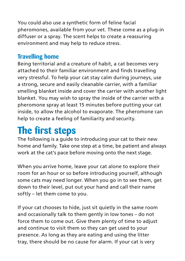You could also use a synthetic form of feline facial pheromones, available from your vet. These come as a plug-in diffuser or a spray. The scent helps to create a reassuring environment and may help to reduce stress.

#### **Travelling home**

Being territorial and a creature of habit, a cat becomes very attached to their familiar environment and finds travelling very stressful. To help your cat stay calm during journeys, use a strong, secure and easily cleanable carrier, with a familiar smelling blanket inside and cover the carrier with another light blanket. You may wish to spray the inside of the carrier with a pheromone spray at least 15 minutes before putting your cat inside, to allow the alcohol to evaporate. The pheromone can help to create a feeling of familiarity and security.

## **The first steps**

The following is a guide to introducing your cat to their new home and family. Take one step at a time, be patient and always work at the cat's pace before moving onto the next stage.

When you arrive home, leave your cat alone to explore their room for an hour or so before introducing yourself, although some cats may need longer. When you go in to see them, get down to their level, put out your hand and call their name softly – let them come to you.

If your cat chooses to hide, just sit quietly in the same room and occasionally talk to them gently in low tones – do not force them to come out. Give them plenty of time to adjust and continue to visit them so they can get used to your presence. As long as they are eating and using the litter tray, there should be no cause for alarm. If your cat is very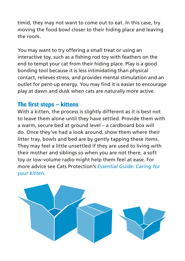timid, they may not want to come out to eat. In this case, try moving the food bowl closer to their hiding place and leaving the room.

You may want to try offering a small treat or using an interactive toy, such as a fishing rod toy with feathers on the end to tempt your cat from their hiding place. Play is a good bonding tool because it is less intimidating than physical contact, relieves stress, and provides mental stimulation and an outlet for pent-up energy. You may find it is easier to encourage play at dawn and dusk when cats are naturally more active.

#### **The first steps – kittens**

With a kitten, the process is slightly different as it is best not to leave them alone until they have settled. Provide them with a warm, secure bed at ground level – a cardboard box will do. Once they've had a look around, show them where their litter tray, bowls and bed are by gently tapping these items. They may feel a little unsettled if they are used to living with their mother and siblings so when you are not there, a soft toy or low-volume radio might help them feel at ease. For more advice see Cats Protection's *Essential Guide: Caring for your kitten*.

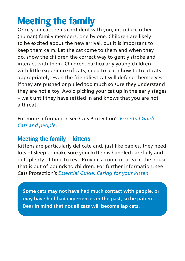### **Meeting the family**

Once your cat seems confident with you, introduce other (human) family members, one by one. Children are likely to be excited about the new arrival, but it is important to keep them calm. Let the cat come to them and when they do, show the children the correct way to gently stroke and interact with them. Children, particularly young children with little experience of cats, need to learn how to treat cats appropriately. Even the friendliest cat will defend themselves if they are pushed or pulled too much so sure they understand they are not a toy. Avoid picking your cat up in the early stages – wait until they have settled in and knows that you are not a threat.

For more information see Cats Protection's *Essential Guide: Cats and people*.

### **Meeting the family – kittens**

Kittens are particularly delicate and, just like babies, they need lots of sleep so make sure your kitten is handled carefully and gets plenty of time to rest. Provide a room or area in the house that is out of bounds to children. For further information, see Cats Protection's *Essential Guide: Caring for your kitten*.

**Some cats may not have had much contact with people, or may have had bad experiences in the past, so be patient. Bear in mind that not all cats will become lap cats.**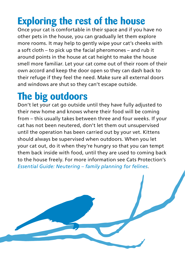### **Exploring the rest of the house**

Once your cat is comfortable in their space and if you have no other pets in the house, you can gradually let them explore more rooms. It may help to gently wipe your cat's cheeks with a soft cloth – to pick up the facial pheromones – and rub it around points in the house at cat height to make the house smell more familiar. Let your cat come out of their room of their own accord and keep the door open so they can dash back to their refuge if they feel the need. Make sure all external doors and windows are shut so they can't escape outside.

### **The big outdoors**

Don't let your cat go outside until they have fully adjusted to their new home and knows where their food will be coming from – this usually takes between three and four weeks. If your cat has not been neutered, don't let them out unsupervised until the operation has been carried out by your vet. Kittens should always be supervised when outdoors. When you let your cat out, do it when they're hungry so that you can tempt them back inside with food, until they are used to coming back to the house freely. For more information see Cats Protection's *Essential Guide: Neutering – family planning for felines*.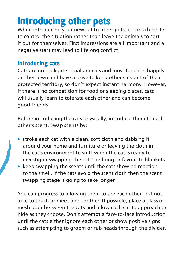### **Introducing other pets**

When introducing your new cat to other pets, it is much better to control the situation rather than leave the animals to sort it out for themselves. First impressions are all important and a negative start may lead to lifelong conflict.

#### **Introducing cats**

Cats are not obligate social animals and most function happily on their own and have a drive to keep other cats out of their protected territory, so don't expect instant harmony. However, if there is no competition for food or sleeping places, cats will usually learn to tolerate each other and can become good friends.

Before introducing the cats physically, introduce them to each other's scent. Swap scents by:

- **•** stroke each cat with a clean, soft cloth and dabbing it around your home and furniture or leaving the cloth in the cat's environment to sniff when the cat is ready to investigateswapping the cats' bedding or favourite blankets
- **•** keep swapping the scents until the cats show no reaction to the smell. If the cats avoid the scent cloth then the scent swapping stage is going to take longer

You can progress to allowing them to see each other, but not able to touch or meet one another. If possible, place a glass or mesh door between the cats and allow each cat to approach or hide as they choose. Don't attempt a face-to-face introduction until the cats either ignore each other or show positive signs such as attempting to groom or rub heads through the divider.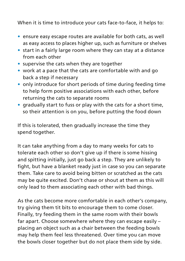When it is time to introduce your cats face-to-face, it helps to:

- **•** ensure easy escape routes are available for both cats, as well as easy access to places higher up, such as furniture or shelves
- **•** start in a fairly large room where they can stay at a distance from each other
- **•** supervise the cats when they are together
- **•** work at a pace that the cats are comfortable with and go back a step if necessary
- **•** only introduce for short periods of time during feeding time to help form positive associations with each other, before returning the cats to separate rooms
- **•** gradually start to fuss or play with the cats for a short time, so their attention is on you, before putting the food down

If this is tolerated, then gradually increase the time they spend together.

It can take anything from a day to many weeks for cats to tolerate each other so don't give up if there is some hissing and spitting initially, just go back a step. They are unlikely to fight, but have a blanket ready just in case so you can separate them. Take care to avoid being bitten or scratched as the cats may be quite excited. Don't chase or shout at them as this will only lead to them associating each other with bad things.

As the cats become more comfortable in each other's company, try giving them tit bits to encourage them to come closer. Finally, try feeding them in the same room with their bowls far apart. Choose somewhere where they can escape easily – placing an object such as a chair between the feeding bowls may help them feel less threatened. Over time you can move the bowls closer together but do not place them side by side.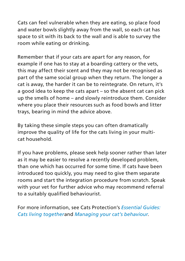Cats can feel vulnerable when they are eating, so place food and water bowls slightly away from the wall, so each cat has space to sit with its back to the wall and is able to survey the room while eating or drinking.

Remember that if your cats are apart for any reason, for example if one has to stay at a boarding cattery or the vets, this may affect their scent and they may not be recognised as part of the same social group when they return. The longer a cat is away, the harder it can be to reintegrate. On return, it's a good idea to keep the cats apart – so the absent cat can pick up the smells of home – and slowly reintroduce them. Consider where you place their resources such as food bowls and litter trays, bearing in mind the advice above.

By taking these simple steps you can often dramatically improve the quality of life for the cats living in your multicat household.

If you have problems, please seek help sooner rather than later as it may be easier to resolve a recently developed problem, than one which has occurred for some time. If cats have been introduced too quickly, you may need to give them separate rooms and start the integration procedure from scratch. Speak with your vet for further advice who may recommend referral to a suitably qualified behaviourist.

For more information, see Cats Protection's *Essential Guides: Cats living together*and *Managing your cat's behaviour*.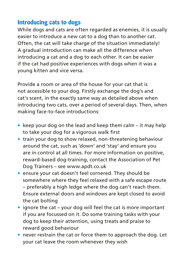#### **Introducing cats to dogs**

While dogs and cats are often regarded as enemies, it is usually easier to introduce a new cat to a dog than to another cat. Often, the cat will take charge of the situation immediately! A gradual introduction can make all the difference when introducing a cat and a dog to each other. It can be easier if the cat had positive experiences with dogs when it was a young kitten and vice versa.

Provide a room or area of the house for your cat that is not accessible to your dog. Firstly exchange the dog's and cat's scent, in the exactly same way as detailed above when introducing two cats, over a period of several days. Then, when making face-to-face introductions:

- **•** keep your dog on the lead and keep them calm it may help to take your dog for a vigorous walk first
- **•** train your dog to show relaxed, non-threatening behaviour around the cat, such as 'down' and 'stay' and ensure you are in control at all times. For more information on positive, reward-based dog-training, contact the Association of Pet Dog Trainers – see www.apdt.co.uk
- **•** ensure your cat doesn't feel cornered. They should be somewhere where they feel relaxed with a safe escape route – preferably a high ledge where the dog can't reach them. Ensure external doors and windows are kept closed to avoid the cat bolting
- **•** ignore the cat your dog will feel the cat is more important if you are focussed on it. Do some training tasks with your dog to keep their attention, using treats and praise to reward good behaviour
- **•** never restrain the cat or force them to approach the dog. Let your cat leave the room whenever they wish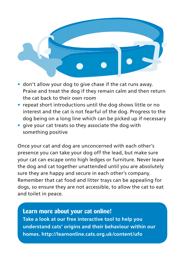

- **•** don't allow your dog to give chase if the cat runs away. Praise and treat the dog if they remain calm and then return the cat back to their own room
- **•** repeat short introductions until the dog shows little or no interest and the cat is not fearful of the dog. Progress to the dog being on a long line which can be picked up if necessary
- **•** give your cat treats so they associate the dog with something positive

Once your cat and dog are unconcerned with each other's presence you can take your dog off the lead, but make sure your cat can escape onto high ledges or furniture. Never leave the dog and cat together unattended until you are absolutely sure they are happy and secure in each other's company. Remember that cat food and litter trays can be appealing for dogs, so ensure they are not accessible, to allow the cat to eat and toilet in peace.

#### **Learn more about your cat online! Take a look at our free interactive tool to help you understand cats' origins and their behaviour within our homes. http://learnonline.cats.org.uk/content/ufo**